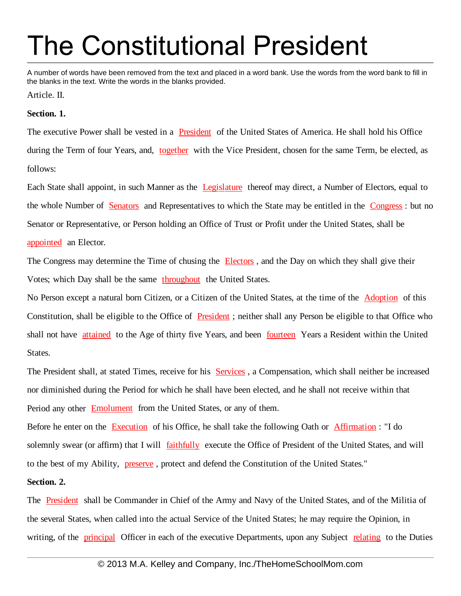# **The Constitutional President**

A number of words have been removed from the text and placed in a word bank. Use the words from the word bank to fill in the blanks in the text. Write the words in the blanks provided.

Article. II.

# **Section. 1.**

The executive Power shall be vested in a **President** of the United States of America. He shall hold his Office during the Term of four Years, and, together with the Vice President, chosen for the same Term, be elected, as follows:

Each State shall appoint, in such Manner as the Legislature thereof may direct, a Number of Electors, equal to the whole Number of Senators and Representatives to which the State may be entitled in the Congress : but no Senator or Representative, or Person holding an Office of Trust or Profit under the United States, shall be appointed an Elector.

The Congress may determine the Time of chusing the Electors, and the Day on which they shall give their Votes; which Day shall be the same throughout the United States.

No Person except a natural born Citizen, or a Citizen of the United States, at the time of the **Adoption** of this Constitution, shall be eligible to the Office of **President**; neither shall any Person be eligible to that Office who shall not have **attained** to the Age of thirty five Years, and been fourteen Years a Resident within the United States.

The President shall, at stated Times, receive for his Services , a Compensation, which shall neither be increased nor diminished during the Period for which he shall have been elected, and he shall not receive within that Period any other Emolument from the United States, or any of them.

Before he enter on the Execution of his Office, he shall take the following Oath or Affirmation : "I do solemnly swear (or affirm) that I will **faithfully** execute the Office of President of the United States, and will to the best of my Ability, preserve , protect and defend the Constitution of the United States."

### **Section. 2.**

The President shall be Commander in Chief of the Army and Navy of the United States, and of the Militia of the several States, when called into the actual Service of the United States; he may require the Opinion, in writing, of the **principal** Officer in each of the executive Departments, upon any Subject relating to the Duties